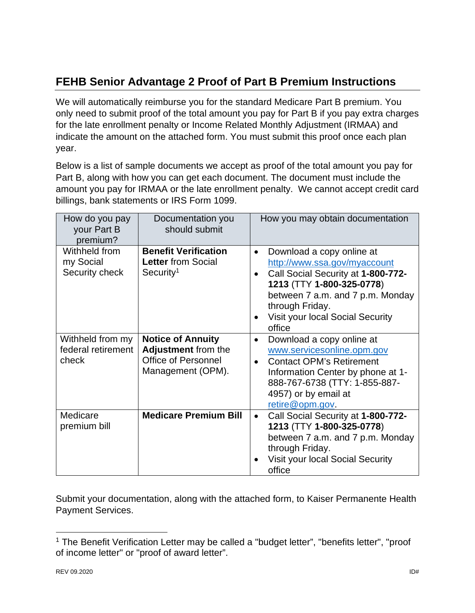## **FEHB Senior Advantage 2 Proof of Part B Premium Instructions**

We will automatically reimburse you for the standard Medicare Part B premium. You only need to submit proof of the total amount you pay for Part B if you pay extra charges for the late enrollment penalty or Income Related Monthly Adjustment (IRMAA) and indicate the amount on the attached form. You must submit this proof once each plan year.

Below is a list of sample documents we accept as proof of the total amount you pay for Part B, along with how you can get each document. The document must include the amount you pay for IRMAA or the late enrollment penalty. We cannot accept credit card billings, bank statements or IRS Form 1099.

| How do you pay<br>your Part B<br>premium?       | Documentation you<br>should submit                                                                        | How you may obtain documentation                                                                                                                                                                                                                      |
|-------------------------------------------------|-----------------------------------------------------------------------------------------------------------|-------------------------------------------------------------------------------------------------------------------------------------------------------------------------------------------------------------------------------------------------------|
| Withheld from<br>my Social<br>Security check    | <b>Benefit Verification</b><br><b>Letter from Social</b><br>Security <sup>1</sup>                         | Download a copy online at<br>$\bullet$<br>http://www.ssa.gov/myaccount<br>Call Social Security at 1-800-772-<br>1213 (TTY 1-800-325-0778)<br>between 7 a.m. and 7 p.m. Monday<br>through Friday.<br><b>Visit your local Social Security</b><br>office |
| Withheld from my<br>federal retirement<br>check | <b>Notice of Annuity</b><br><b>Adjustment from the</b><br><b>Office of Personnel</b><br>Management (OPM). | Download a copy online at<br>$\bullet$<br>www.servicesonline.opm.gov<br><b>Contact OPM's Retirement</b><br>$\bullet$<br>Information Center by phone at 1-<br>888-767-6738 (TTY: 1-855-887-<br>4957) or by email at<br>retire@opm.gov.                 |
| Medicare<br>premium bill                        | <b>Medicare Premium Bill</b>                                                                              | Call Social Security at 1-800-772-<br>$\bullet$<br>1213 (TTY 1-800-325-0778)<br>between 7 a.m. and 7 p.m. Monday<br>through Friday.<br>Visit your local Social Security<br>office                                                                     |

Submit your documentation, along with the attached form, to Kaiser Permanente Health Payment Services.

<sup>&</sup>lt;sup>1</sup> The Benefit Verification Letter may be called a "budget letter", "benefits letter", "proof of income letter" or "proof of award letter".